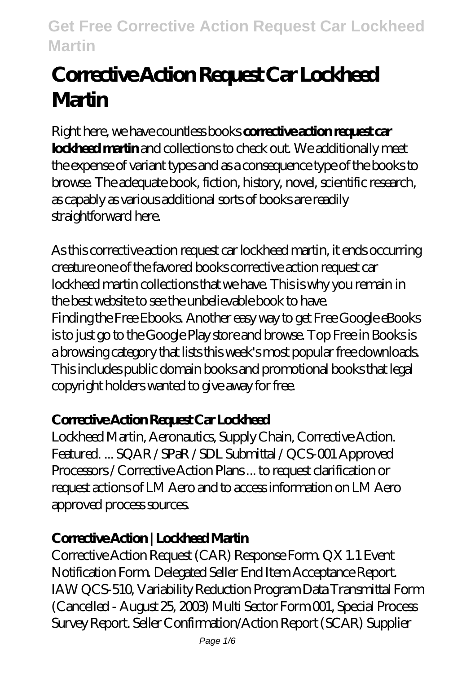# **Corrective Action Request Car Lockheed Martin**

Right here, we have countless books **corrective action request car lockheed martin** and collections to check out. We additionally meet the expense of variant types and as a consequence type of the books to browse. The adequate book, fiction, history, novel, scientific research, as capably as various additional sorts of books are readily straightforward here.

As this corrective action request car lockheed martin, it ends occurring creature one of the favored books corrective action request car lockheed martin collections that we have. This is why you remain in the best website to see the unbelievable book to have. Finding the Free Ebooks. Another easy way to get Free Google eBooks is to just go to the Google Play store and browse. Top Free in Books is a browsing category that lists this week's most popular free downloads. This includes public domain books and promotional books that legal copyright holders wanted to give away for free.

## **Corrective Action Request Car Lockheed**

Lockheed Martin, Aeronautics, Supply Chain, Corrective Action. Featured. ... SQAR / SPaR / SDL Submittal / QCS-001 Approved Processors / Corrective Action Plans ... to request clarification or request actions of LM Aero and to access information on LM Aero approved process sources.

## **Corrective Action | Lockheed Martin**

Corrective Action Request (CAR) Response Form. QX 1.1 Event Notification Form. Delegated Seller End Item Acceptance Report. IAW QCS-510, Variability Reduction Program Data Transmittal Form (Cancelled - August 25, 2003) Multi Sector Form 001, Special Process Survey Report. Seller Confirmation/Action Report (SCAR) Supplier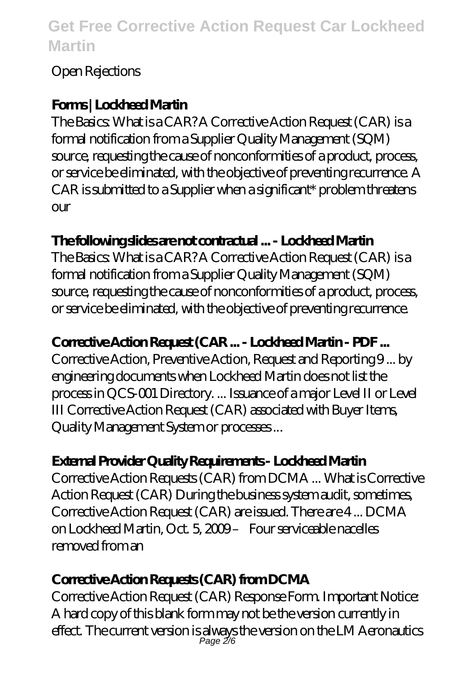#### Open Rejections

## **Forms | Lockheed Martin**

The Basics: What is a CAR? A Corrective Action Request (CAR) is a formal notification from a Supplier Quality Management (SQM) source, requesting the cause of nonconformities of a product, process, or service be eliminated, with the objective of preventing recurrence. A CAR is submitted to a Supplier when a significant\* problem threatens our

## **The following slides are not contractual ... - Lockheed Martin**

The Basics: What is a CAR? A Corrective Action Request (CAR) is a formal notification from a Supplier Quality Management (SQM) source, requesting the cause of nonconformities of a product, process, or service be eliminated, with the objective of preventing recurrence.

## **Corrective Action Request (CAR ... - Lockheed Martin - PDF ...**

Corrective Action, Preventive Action, Request and Reporting 9 ... by engineering documents when Lockheed Martin does not list the process in QCS-001 Directory. ... Issuance of a major Level II or Level III Corrective Action Request (CAR) associated with Buyer Items, Quality Management System or processes ...

## **External Provider Quality Requirements - Lockheed Martin**

Corrective Action Requests (CAR) from DCMA ... What is Corrective Action Request (CAR) During the business system audit, sometimes, Corrective Action Request (CAR) are issued. There are 4 ... DCMA on Lockheed Martin, Oct. 5, 2009 – Four serviceable nacelles removed from an

## **Corrective Action Requests (CAR) from DCMA**

Corrective Action Request (CAR) Response Form. Important Notice: A hard copy of this blank form may not be the version currently in effect. The current version is always the version on the LM Aeronautics Page 2/6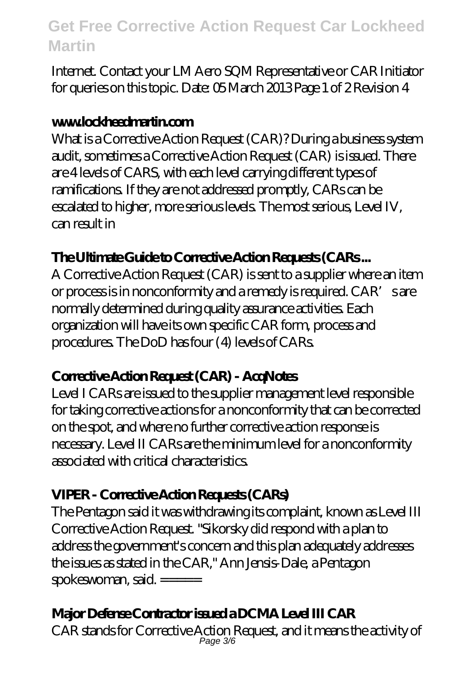Internet. Contact your LM Aero SQM Representative or CAR Initiator for queries on this topic. Date: 05 March 2013 Page 1 of 2 Revision 4

#### **www.lockheedmartin.com**

What is a Corrective Action Request (CAR)? During a business system audit, sometimes a Corrective Action Request (CAR) is issued. There are 4 levels of CARS, with each level carrying different types of ramifications. If they are not addressed promptly, CARs can be escalated to higher, more serious levels. The most serious, Level IV, can result in

#### **The Ultimate Guide to Corrective Action Requests (CARs ...**

A Corrective Action Request (CAR) is sent to a supplier where an item or process is in nonconformity and a remedy is required. CAR's are normally determined during quality assurance activities. Each organization will have its own specific CAR form, process and procedures. The DoD has four (4) levels of CARs.

#### **Corrective Action Request (CAR) - AcqNotes**

Level I CARs are issued to the supplier management level responsible for taking corrective actions for a nonconformity that can be corrected on the spot, and where no further corrective action response is necessary. Level II CARs are the minimum level for a nonconformity associated with critical characteristics.

## **VIPER - Corrective Action Requests (CARs)**

The Pentagon said it was withdrawing its complaint, known as Level III Corrective Action Request. "Sikorsky did respond with a plan to address the government's concern and this plan adequately addresses the issues as stated in the CAR," Ann Jensis-Dale, a Pentagon spokeswoman, said. =====

## **Major Defense Contractor issued a DCMA Level III CAR**

CAR stands for Corrective Action Request, and it means the activity of Page 3/6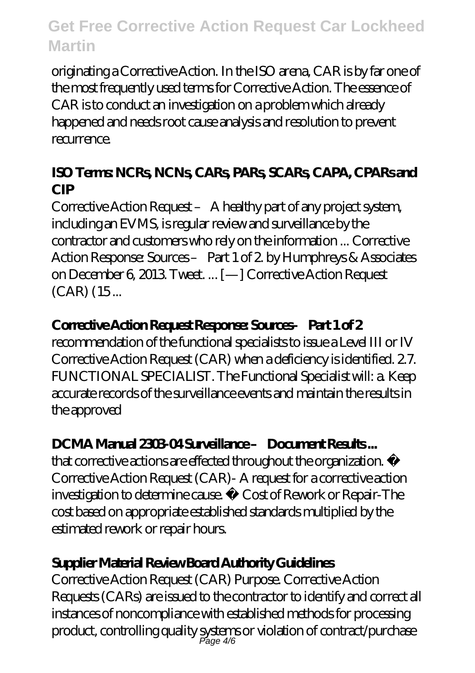originating a Corrective Action. In the ISO arena, CAR is by far one of the most frequently used terms for Corrective Action. The essence of CAR is to conduct an investigation on a problem which already happened and needs root cause analysis and resolution to prevent recurrence.

#### **ISO Terms: NCRs, NCNs, CARs, PARs, SCARs, CAPA, CPARs and CIP**

Corrective Action Request – A healthy part of any project system, including an EVMS, is regular review and surveillance by the contractor and customers who rely on the information ... Corrective Action Response: Sources – Part 1 of 2. by Humphreys & Associates on December 6, 2013. Tweet. ... [—] Corrective Action Request (CAR) (15 ...

## **Corrective Action Request Response: Sources– Part 1 of 2**

recommendation of the functional specialists to issue a Level III or IV Corrective Action Request (CAR) when a deficiency is identified. 2.7. FUNCTIONAL SPECIALIST. The Functional Specialist will: a. Keep accurate records of the surveillance events and maintain the results in the approved

## **DCMA Manual 2303-04 Surveillance – Document Results ...**

that corrective actions are effected throughout the organization. • Corrective Action Request (CAR)- A request for a corrective action investigation to determine cause. • Cost of Rework or Repair-The cost based on appropriate established standards multiplied by the estimated rework or repair hours.

## **Supplier Material Review Board Authority Guidelines**

Corrective Action Request (CAR) Purpose. Corrective Action Requests (CARs) are issued to the contractor to identify and correct all instances of noncompliance with established methods for processing product, controlling quality systems or violation of contract/purchase Page 4/6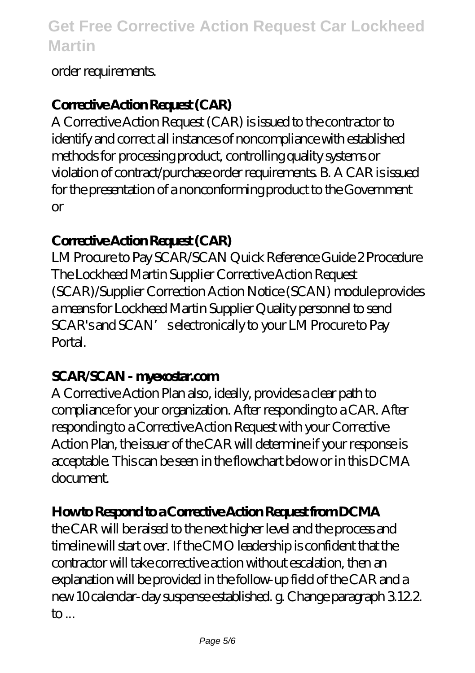#### order requirements.

#### **Corrective Action Request (CAR)**

A Corrective Action Request (CAR) is issued to the contractor to identify and correct all instances of noncompliance with established methods for processing product, controlling quality systems or violation of contract/purchase order requirements. B. A CAR is issued for the presentation of a nonconforming product to the Government or

#### **Corrective Action Request (CAR)**

LM Procure to Pay SCAR/SCAN Quick Reference Guide 2 Procedure The Lockheed Martin Supplier Corrective Action Request (SCAR)/Supplier Correction Action Notice (SCAN) module provides a means for Lockheed Martin Supplier Quality personnel to send SCAR's and SCAN's electronically to your LM Procure to Pay **Portal** 

#### **SCAR/SCAN - myexostar.com**

A Corrective Action Plan also, ideally, provides a clear path to compliance for your organization. After responding to a CAR. After responding to a Corrective Action Request with your Corrective Action Plan, the issuer of the CAR will determine if your response is acceptable. This can be seen in the flowchart below or in this DCMA document.

#### **How to Respond to a Corrective Action Request from DCMA**

the CAR will be raised to the next higher level and the process and timeline will start over. If the CMO leadership is confident that the contractor will take corrective action without escalation, then an explanation will be provided in the follow-up field of the CAR and a new 10 calendar-day suspense established. g. Change paragraph 3.12.2.  $\mathsf{to}$ ...